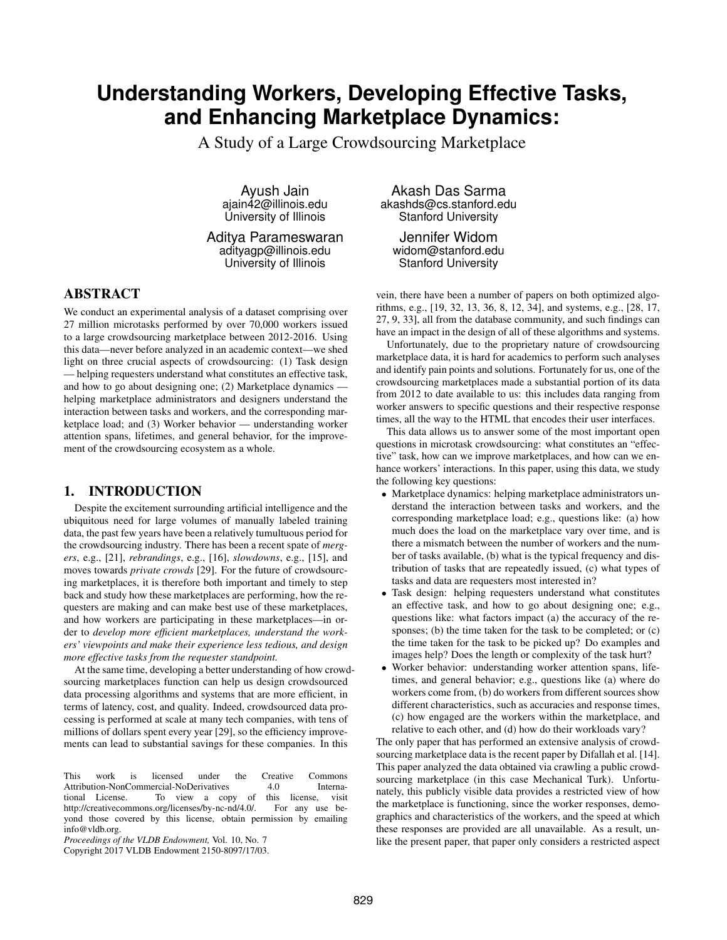# **Understanding Workers, Developing Effective Tasks, and Enhancing Marketplace Dynamics:**

A Study of a Large Crowdsourcing Marketplace

Ayush Jain ajain42@illinois.edu University of Illinois

Aditya Parameswaran adityagp@illinois.edu University of Illinois

# ABSTRACT

We conduct an experimental analysis of a dataset comprising over 27 million microtasks performed by over 70,000 workers issued to a large crowdsourcing marketplace between 2012-2016. Using this data—never before analyzed in an academic context—we shed light on three crucial aspects of crowdsourcing: (1) Task design — helping requesters understand what constitutes an effective task, and how to go about designing one; (2) Marketplace dynamics helping marketplace administrators and designers understand the interaction between tasks and workers, and the corresponding marketplace load; and (3) Worker behavior — understanding worker attention spans, lifetimes, and general behavior, for the improvement of the crowdsourcing ecosystem as a whole.

#### 1. INTRODUCTION

Despite the excitement surrounding artificial intelligence and the ubiquitous need for large volumes of manually labeled training data, the past few years have been a relatively tumultuous period for the crowdsourcing industry. There has been a recent spate of *mergers*, e.g., [\[21\]](#page-11-0), *rebrandings*, e.g., [\[16\]](#page-11-1), *slowdowns*, e.g., [\[15\]](#page-11-2), and moves towards *private crowds* [\[29\]](#page-11-3). For the future of crowdsourcing marketplaces, it is therefore both important and timely to step back and study how these marketplaces are performing, how the requesters are making and can make best use of these marketplaces, and how workers are participating in these marketplaces—in order to *develop more efficient marketplaces, understand the workers' viewpoints and make their experience less tedious, and design more effective tasks from the requester standpoint.*

At the same time, developing a better understanding of how crowdsourcing marketplaces function can help us design crowdsourced data processing algorithms and systems that are more efficient, in terms of latency, cost, and quality. Indeed, crowdsourced data processing is performed at scale at many tech companies, with tens of millions of dollars spent every year [\[29\]](#page-11-3), so the efficiency improvements can lead to substantial savings for these companies. In this

This work is licensed under the Creative Commons Attribution-NonCommercial-NoDerivatives 4.0 International License. To view a copy of this license, visit http://creativecommons.org/licenses/by-nc-nd/4.0/. For any use behttp://creativecommons.org/licenses/by-nc-nd/4.0/. yond those covered by this license, obtain permission by emailing info@vldb.org.

Copyright 2017 VLDB Endowment 2150-8097/17/03.

Akash Das Sarma akashds@cs.stanford.edu Stanford University

Jennifer Widom widom@stanford.edu Stanford University

vein, there have been a number of papers on both optimized algorithms, e.g., [\[19,](#page-11-4) [32,](#page-11-5) [13,](#page-11-6) [36,](#page-11-7) [8,](#page-11-8) [12,](#page-11-9) [34\]](#page-11-10), and systems, e.g., [\[28,](#page-11-11) [17,](#page-11-12) [27,](#page-11-13) [9,](#page-11-14) [33\]](#page-11-15), all from the database community, and such findings can have an impact in the design of all of these algorithms and systems.

Unfortunately, due to the proprietary nature of crowdsourcing marketplace data, it is hard for academics to perform such analyses and identify pain points and solutions. Fortunately for us, one of the crowdsourcing marketplaces made a substantial portion of its data from 2012 to date available to us: this includes data ranging from worker answers to specific questions and their respective response times, all the way to the HTML that encodes their user interfaces.

This data allows us to answer some of the most important open questions in microtask crowdsourcing: what constitutes an "effective" task, how can we improve marketplaces, and how can we enhance workers' interactions. In this paper, using this data, we study the following key questions:

- Marketplace dynamics: helping marketplace administrators understand the interaction between tasks and workers, and the corresponding marketplace load; e.g., questions like: (a) how much does the load on the marketplace vary over time, and is there a mismatch between the number of workers and the number of tasks available, (b) what is the typical frequency and distribution of tasks that are repeatedly issued, (c) what types of tasks and data are requesters most interested in?
- Task design: helping requesters understand what constitutes an effective task, and how to go about designing one; e.g., questions like: what factors impact (a) the accuracy of the responses; (b) the time taken for the task to be completed; or (c) the time taken for the task to be picked up? Do examples and images help? Does the length or complexity of the task hurt?
- Worker behavior: understanding worker attention spans, lifetimes, and general behavior; e.g., questions like (a) where do workers come from, (b) do workers from different sources show different characteristics, such as accuracies and response times, (c) how engaged are the workers within the marketplace, and relative to each other, and (d) how do their workloads vary?

The only paper that has performed an extensive analysis of crowdsourcing marketplace data is the recent paper by Difallah et al. [\[14\]](#page-11-16). This paper analyzed the data obtained via crawling a public crowdsourcing marketplace (in this case Mechanical Turk). Unfortunately, this publicly visible data provides a restricted view of how the marketplace is functioning, since the worker responses, demographics and characteristics of the workers, and the speed at which these responses are provided are all unavailable. As a result, unlike the present paper, that paper only considers a restricted aspect

*Proceedings of the VLDB Endowment,* Vol. 10, No. 7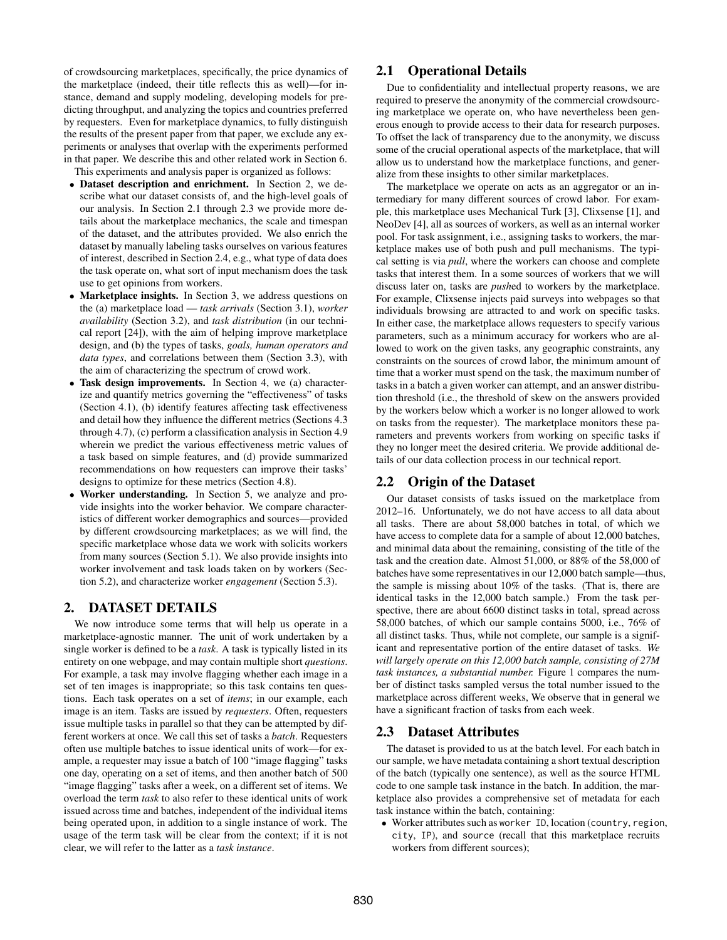of crowdsourcing marketplaces, specifically, the price dynamics of the marketplace (indeed, their title reflects this as well)—for instance, demand and supply modeling, developing models for predicting throughput, and analyzing the topics and countries preferred by requesters. Even for marketplace dynamics, to fully distinguish the results of the present paper from that paper, we exclude any experiments or analyses that overlap with the experiments performed in that paper. We describe this and other related work in Section [6.](#page-10-0)

This experiments and analysis paper is organized as follows:

- Dataset description and enrichment. In Section [2,](#page-1-0) we describe what our dataset consists of, and the high-level goals of our analysis. In Section [2.1](#page-1-1) through [2.3](#page-1-2) we provide more details about the marketplace mechanics, the scale and timespan of the dataset, and the attributes provided. We also enrich the dataset by manually labeling tasks ourselves on various features of interest, described in Section [2.4,](#page-2-0) e.g., what type of data does the task operate on, what sort of input mechanism does the task use to get opinions from workers.
- Marketplace insights. In Section [3,](#page-2-1) we address questions on the (a) marketplace load — *task arrivals* (Section [3.1\)](#page-2-2), *worker availability* (Section [3.2\)](#page-2-3), and *task distribution* (in our technical report [\[24\]](#page-11-17)), with the aim of helping improve marketplace design, and (b) the types of tasks, *goals, human operators and data types*, and correlations between them (Section [3.3\)](#page-3-0), with the aim of characterizing the spectrum of crowd work.
- Task design improvements. In Section [4,](#page-4-0) we (a) characterize and quantify metrics governing the "effectiveness" of tasks (Section [4.1\)](#page-4-1), (b) identify features affecting task effectiveness and detail how they influence the different metrics (Sections [4.3](#page-5-0) through [4.7\)](#page-7-0), (c) perform a classification analysis in Section [4.9](#page-7-1) wherein we predict the various effectiveness metric values of a task based on simple features, and (d) provide summarized recommendations on how requesters can improve their tasks' designs to optimize for these metrics (Section [4.8\)](#page-7-2).
- Worker understanding. In Section [5,](#page-8-0) we analyze and provide insights into the worker behavior. We compare characteristics of different worker demographics and sources—provided by different crowdsourcing marketplaces; as we will find, the specific marketplace whose data we work with solicits workers from many sources (Section [5.1\)](#page-8-1). We also provide insights into worker involvement and task loads taken on by workers (Section [5.2\)](#page-9-0), and characterize worker *engagement* (Section [5.3\)](#page-9-1).

## <span id="page-1-0"></span>2. DATASET DETAILS

We now introduce some terms that will help us operate in a marketplace-agnostic manner. The unit of work undertaken by a single worker is defined to be a *task*. A task is typically listed in its entirety on one webpage, and may contain multiple short *questions*. For example, a task may involve flagging whether each image in a set of ten images is inappropriate; so this task contains ten questions. Each task operates on a set of *items*; in our example, each image is an item. Tasks are issued by *requesters*. Often, requesters issue multiple tasks in parallel so that they can be attempted by different workers at once. We call this set of tasks a *batch*. Requesters often use multiple batches to issue identical units of work—for example, a requester may issue a batch of 100 "image flagging" tasks one day, operating on a set of items, and then another batch of 500 "image flagging" tasks after a week, on a different set of items. We overload the term *task* to also refer to these identical units of work issued across time and batches, independent of the individual items being operated upon, in addition to a single instance of work. The usage of the term task will be clear from the context; if it is not clear, we will refer to the latter as a *task instance*.

#### <span id="page-1-1"></span>2.1 Operational Details

Due to confidentiality and intellectual property reasons, we are required to preserve the anonymity of the commercial crowdsourcing marketplace we operate on, who have nevertheless been generous enough to provide access to their data for research purposes. To offset the lack of transparency due to the anonymity, we discuss some of the crucial operational aspects of the marketplace, that will allow us to understand how the marketplace functions, and generalize from these insights to other similar marketplaces.

The marketplace we operate on acts as an aggregator or an intermediary for many different sources of crowd labor. For example, this marketplace uses Mechanical Turk [\[3\]](#page-11-18), Clixsense [\[1\]](#page-11-19), and NeoDev [\[4\]](#page-11-20), all as sources of workers, as well as an internal worker pool. For task assignment, i.e., assigning tasks to workers, the marketplace makes use of both push and pull mechanisms. The typical setting is via *pull*, where the workers can choose and complete tasks that interest them. In a some sources of workers that we will discuss later on, tasks are *push*ed to workers by the marketplace. For example, Clixsense injects paid surveys into webpages so that individuals browsing are attracted to and work on specific tasks. In either case, the marketplace allows requesters to specify various parameters, such as a minimum accuracy for workers who are allowed to work on the given tasks, any geographic constraints, any constraints on the sources of crowd labor, the minimum amount of time that a worker must spend on the task, the maximum number of tasks in a batch a given worker can attempt, and an answer distribution threshold (i.e., the threshold of skew on the answers provided by the workers below which a worker is no longer allowed to work on tasks from the requester). The marketplace monitors these parameters and prevents workers from working on specific tasks if they no longer meet the desired criteria. We provide additional details of our data collection process in our technical report.

## 2.2 Origin of the Dataset

Our dataset consists of tasks issued on the marketplace from 2012–16. Unfortunately, we do not have access to all data about all tasks. There are about 58,000 batches in total, of which we have access to complete data for a sample of about 12,000 batches, and minimal data about the remaining, consisting of the title of the task and the creation date. Almost 51,000, or 88% of the 58,000 of batches have some representatives in our 12,000 batch sample—thus, the sample is missing about 10% of the tasks. (That is, there are identical tasks in the 12,000 batch sample.) From the task perspective, there are about 6600 distinct tasks in total, spread across 58,000 batches, of which our sample contains 5000, i.e., 76% of all distinct tasks. Thus, while not complete, our sample is a significant and representative portion of the entire dataset of tasks. *We will largely operate on this 12,000 batch sample, consisting of 27M task instances, a substantial number.* Figure [1](#page-2-4) compares the number of distinct tasks sampled versus the total number issued to the marketplace across different weeks, We observe that in general we have a significant fraction of tasks from each week.

## <span id="page-1-2"></span>2.3 Dataset Attributes

The dataset is provided to us at the batch level. For each batch in our sample, we have metadata containing a short textual description of the batch (typically one sentence), as well as the source HTML code to one sample task instance in the batch. In addition, the marketplace also provides a comprehensive set of metadata for each task instance within the batch, containing:

• Worker attributes such as worker ID, location (country, region, city, IP), and source (recall that this marketplace recruits workers from different sources);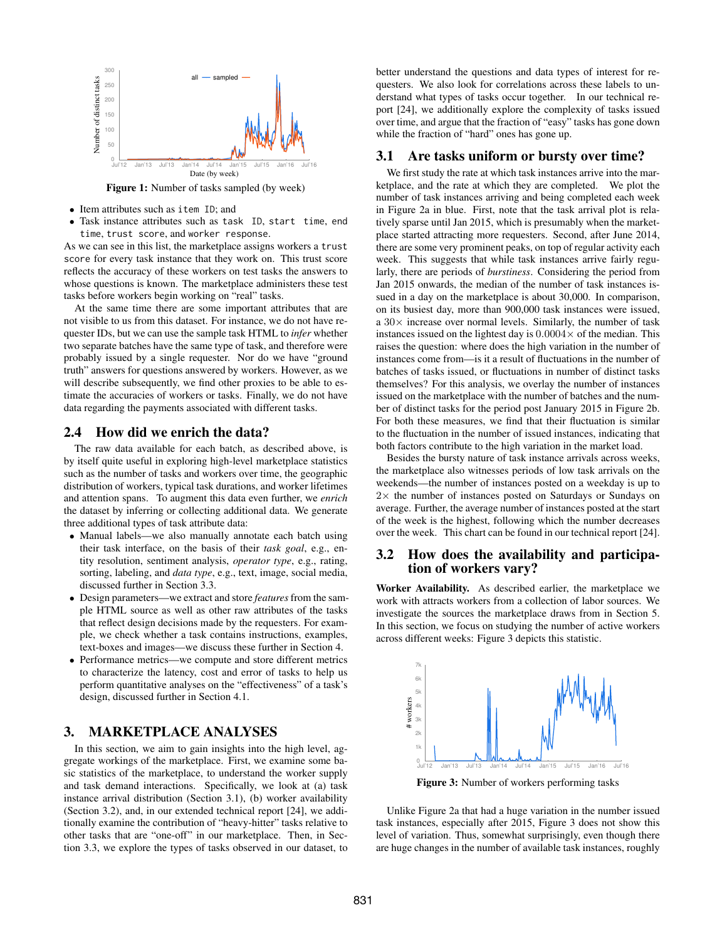<span id="page-2-4"></span>

Figure 1: Number of tasks sampled (by week)

- Item attributes such as item ID; and
- Task instance attributes such as task ID, start time, end time, trust score, and worker response.

As we can see in this list, the marketplace assigns workers a trust score for every task instance that they work on. This trust score reflects the accuracy of these workers on test tasks the answers to whose questions is known. The marketplace administers these test tasks before workers begin working on "real" tasks.

At the same time there are some important attributes that are not visible to us from this dataset. For instance, we do not have requester IDs, but we can use the sample task HTML to *infer* whether two separate batches have the same type of task, and therefore were probably issued by a single requester. Nor do we have "ground truth" answers for questions answered by workers. However, as we will describe subsequently, we find other proxies to be able to estimate the accuracies of workers or tasks. Finally, we do not have data regarding the payments associated with different tasks.

#### <span id="page-2-0"></span>2.4 How did we enrich the data?

The raw data available for each batch, as described above, is by itself quite useful in exploring high-level marketplace statistics such as the number of tasks and workers over time, the geographic distribution of workers, typical task durations, and worker lifetimes and attention spans. To augment this data even further, we *enrich* the dataset by inferring or collecting additional data. We generate three additional types of task attribute data:

- Manual labels—we also manually annotate each batch using their task interface, on the basis of their *task goal*, e.g., entity resolution, sentiment analysis, *operator type*, e.g., rating, sorting, labeling, and *data type*, e.g., text, image, social media, discussed further in Section [3.3.](#page-3-0)
- Design parameters—we extract and store *features* from the sample HTML source as well as other raw attributes of the tasks that reflect design decisions made by the requesters. For example, we check whether a task contains instructions, examples, text-boxes and images—we discuss these further in Section [4.](#page-4-0)
- Performance metrics—we compute and store different metrics to characterize the latency, cost and error of tasks to help us perform quantitative analyses on the "effectiveness" of a task's design, discussed further in Section [4.1.](#page-4-1)

#### <span id="page-2-1"></span>3. MARKETPLACE ANALYSES

In this section, we aim to gain insights into the high level, aggregate workings of the marketplace. First, we examine some basic statistics of the marketplace, to understand the worker supply and task demand interactions. Specifically, we look at (a) task instance arrival distribution (Section [3.1\)](#page-2-2), (b) worker availability (Section [3.2\)](#page-2-3), and, in our extended technical report [\[24\]](#page-11-17), we additionally examine the contribution of "heavy-hitter" tasks relative to other tasks that are "one-off" in our marketplace. Then, in Section [3.3,](#page-3-0) we explore the types of tasks observed in our dataset, to

better understand the questions and data types of interest for requesters. We also look for correlations across these labels to understand what types of tasks occur together. In our technical report [\[24\]](#page-11-17), we additionally explore the complexity of tasks issued over time, and argue that the fraction of "easy" tasks has gone down while the fraction of "hard" ones has gone up.

#### <span id="page-2-2"></span>3.1 Are tasks uniform or bursty over time?

We first study the rate at which task instances arrive into the marketplace, and the rate at which they are completed. We plot the number of task instances arriving and being completed each week in Figure [2a](#page-3-1) in blue. First, note that the task arrival plot is relatively sparse until Jan 2015, which is presumably when the marketplace started attracting more requesters. Second, after June 2014, there are some very prominent peaks, on top of regular activity each week. This suggests that while task instances arrive fairly regularly, there are periods of *burstiness*. Considering the period from Jan 2015 onwards, the median of the number of task instances issued in a day on the marketplace is about 30,000. In comparison, on its busiest day, more than 900,000 task instances were issued, a  $30\times$  increase over normal levels. Similarly, the number of task instances issued on the lightest day is  $0.0004 \times$  of the median. This raises the question: where does the high variation in the number of instances come from—is it a result of fluctuations in the number of batches of tasks issued, or fluctuations in number of distinct tasks themselves? For this analysis, we overlay the number of instances issued on the marketplace with the number of batches and the number of distinct tasks for the period post January 2015 in Figure [2b.](#page-3-1) For both these measures, we find that their fluctuation is similar to the fluctuation in the number of issued instances, indicating that both factors contribute to the high variation in the market load.

Besides the bursty nature of task instance arrivals across weeks, the marketplace also witnesses periods of low task arrivals on the weekends—the number of instances posted on a weekday is up to 2× the number of instances posted on Saturdays or Sundays on average. Further, the average number of instances posted at the start of the week is the highest, following which the number decreases over the week. This chart can be found in our technical report [\[24\]](#page-11-17).

#### <span id="page-2-3"></span>3.2 How does the availability and participation of workers vary?

Worker Availability. As described earlier, the marketplace we work with attracts workers from a collection of labor sources. We investigate the sources the marketplace draws from in Section [5.](#page-8-0) In this section, we focus on studying the number of active workers across different weeks: Figure [3](#page-2-5) depicts this statistic.

<span id="page-2-5"></span>

Unlike Figure [2a](#page-3-1) that had a huge variation in the number issued task instances, especially after 2015, Figure [3](#page-2-5) does not show this level of variation. Thus, somewhat surprisingly, even though there are huge changes in the number of available task instances, roughly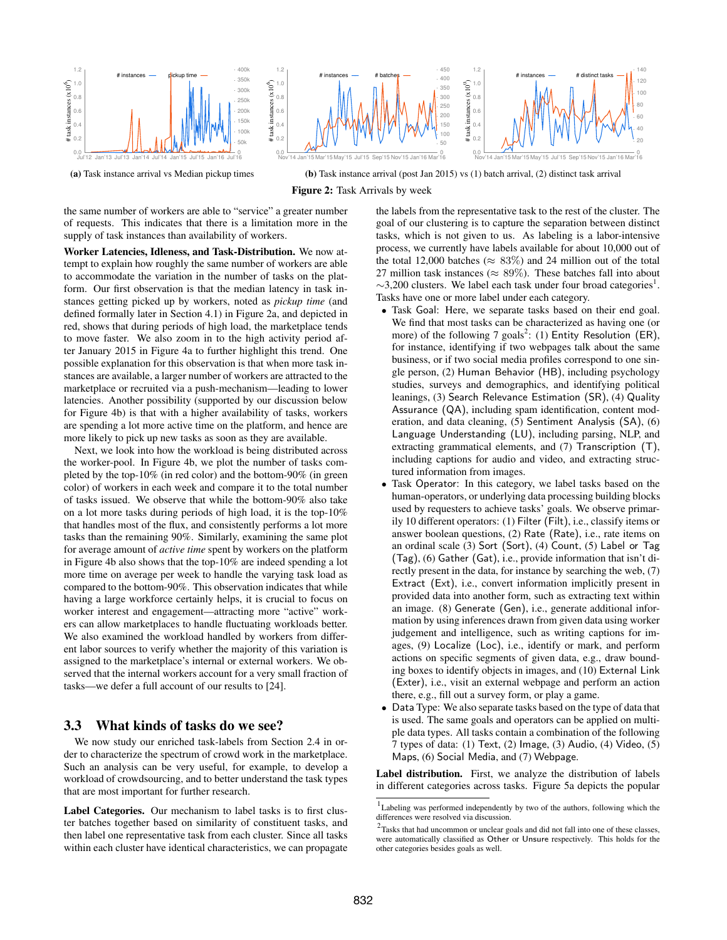<span id="page-3-1"></span>



(b) Task instance arrival (post Jan 2015) vs (1) batch arrival, (2) distinct task arrival

(a) Task instance arrival vs Median pickup times

Figure 2: Task Arrivals by week

the same number of workers are able to "service" a greater number of requests. This indicates that there is a limitation more in the supply of task instances than availability of workers.

Worker Latencies, Idleness, and Task-Distribution. We now attempt to explain how roughly the same number of workers are able to accommodate the variation in the number of tasks on the platform. Our first observation is that the median latency in task instances getting picked up by workers, noted as *pickup time* (and defined formally later in Section [4.1\)](#page-4-1) in Figure [2a,](#page-3-1) and depicted in red, shows that during periods of high load, the marketplace tends to move faster. We also zoom in to the high activity period after January 2015 in Figure [4a](#page-4-2) to further highlight this trend. One possible explanation for this observation is that when more task instances are available, a larger number of workers are attracted to the marketplace or recruited via a push-mechanism—leading to lower latencies. Another possibility (supported by our discussion below for Figure [4b\)](#page-4-2) is that with a higher availability of tasks, workers are spending a lot more active time on the platform, and hence are more likely to pick up new tasks as soon as they are available.

Next, we look into how the workload is being distributed across the worker-pool. In Figure [4b,](#page-4-2) we plot the number of tasks completed by the top-10% (in red color) and the bottom-90% (in green color) of workers in each week and compare it to the total number of tasks issued. We observe that while the bottom-90% also take on a lot more tasks during periods of high load, it is the top-10% that handles most of the flux, and consistently performs a lot more tasks than the remaining 90%. Similarly, examining the same plot for average amount of *active time* spent by workers on the platform in Figure [4b](#page-4-2) also shows that the top-10% are indeed spending a lot more time on average per week to handle the varying task load as compared to the bottom-90%. This observation indicates that while having a large workforce certainly helps, it is crucial to focus on worker interest and engagement—attracting more "active" workers can allow marketplaces to handle fluctuating workloads better. We also examined the workload handled by workers from different labor sources to verify whether the majority of this variation is assigned to the marketplace's internal or external workers. We observed that the internal workers account for a very small fraction of tasks—we defer a full account of our results to [\[24\]](#page-11-17).

#### <span id="page-3-0"></span>3.3 What kinds of tasks do we see?

We now study our enriched task-labels from Section [2.4](#page-2-0) in order to characterize the spectrum of crowd work in the marketplace. Such an analysis can be very useful, for example, to develop a workload of crowdsourcing, and to better understand the task types that are most important for further research.

Label Categories. Our mechanism to label tasks is to first cluster batches together based on similarity of constituent tasks, and then label one representative task from each cluster. Since all tasks within each cluster have identical characteristics, we can propagate the labels from the representative task to the rest of the cluster. The goal of our clustering is to capture the separation between distinct tasks, which is not given to us. As labeling is a labor-intensive process, we currently have labels available for about 10,000 out of the total 12,000 batches ( $\approx 83\%$ ) and 24 million out of the total 27 million task instances ( $\approx 89\%$ ). These batches fall into about  $\sim$ 3,200 clusters. We label each task under four broad categories<sup>[1](#page-3-2)</sup>. Tasks have one or more label under each category.

- Task Goal: Here, we separate tasks based on their end goal. We find that most tasks can be characterized as having one (or more) of the following 7 goals<sup>[2](#page-3-3)</sup>: (1) Entity Resolution (ER), for instance, identifying if two webpages talk about the same business, or if two social media profiles correspond to one single person, (2) Human Behavior (HB), including psychology studies, surveys and demographics, and identifying political leanings, (3) Search Relevance Estimation (SR), (4) Quality Assurance (QA), including spam identification, content moderation, and data cleaning, (5) Sentiment Analysis (SA), (6) Language Understanding (LU), including parsing, NLP, and extracting grammatical elements, and (7) Transcription (T), including captions for audio and video, and extracting structured information from images.
- Task Operator: In this category, we label tasks based on the human-operators, or underlying data processing building blocks used by requesters to achieve tasks' goals. We observe primarily 10 different operators: (1) Filter (Filt), i.e., classify items or answer boolean questions, (2) Rate (Rate), i.e., rate items on an ordinal scale (3) Sort (Sort), (4) Count, (5) Label or Tag (Tag), (6) Gather (Gat), i.e., provide information that isn't directly present in the data, for instance by searching the web, (7) Extract (Ext), i.e., convert information implicitly present in provided data into another form, such as extracting text within an image. (8) Generate (Gen), i.e., generate additional information by using inferences drawn from given data using worker judgement and intelligence, such as writing captions for images, (9) Localize (Loc), i.e., identify or mark, and perform actions on specific segments of given data, e.g., draw bounding boxes to identify objects in images, and (10) External Link (Exter), i.e., visit an external webpage and perform an action there, e.g., fill out a survey form, or play a game.
- Data Type: We also separate tasks based on the type of data that is used. The same goals and operators can be applied on multiple data types. All tasks contain a combination of the following 7 types of data: (1) Text, (2) Image, (3) Audio, (4) Video, (5) Maps, (6) Social Media, and (7) Webpage.

Label distribution. First, we analyze the distribution of labels in different categories across tasks. Figure [5a](#page-5-1) depicts the popular

<span id="page-3-2"></span><sup>&</sup>lt;sup>1</sup>Labeling was performed independently by two of the authors, following which the differences were resolved via discussion.

<span id="page-3-3"></span> $2$ Tasks that had uncommon or unclear goals and did not fall into one of these classes, were automatically classified as Other or Unsure respectively. This holds for the other categories besides goals as well.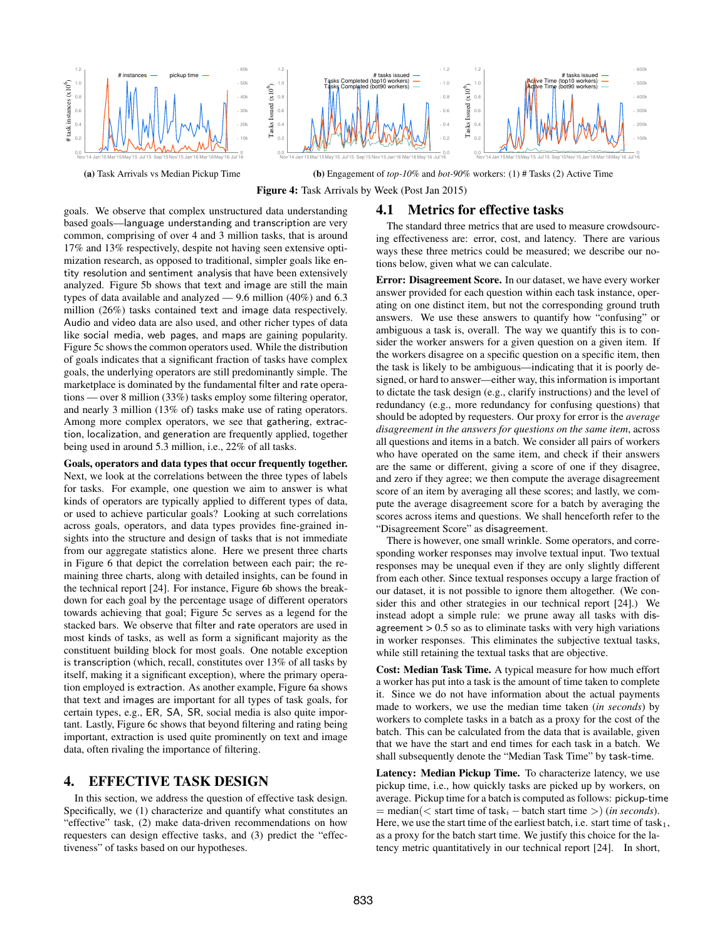<span id="page-4-2"></span>

(a) Task Arrivals vs Median Pickup Time

Figure 4: Task Arrivals by Week (Post Jan 2015)

goals. We observe that complex unstructured data understanding based goals—language understanding and transcription are very common, comprising of over 4 and 3 million tasks, that is around 17% and 13% respectively, despite not having seen extensive optimization research, as opposed to traditional, simpler goals like entity resolution and sentiment analysis that have been extensively analyzed. Figure [5b](#page-5-1) shows that text and image are still the main types of data available and analyzed — 9.6 million (40%) and 6.3 million (26%) tasks contained text and image data respectively. Audio and video data are also used, and other richer types of data like social media, web pages, and maps are gaining popularity. Figure [5c](#page-5-1) shows the common operators used. While the distribution of goals indicates that a significant fraction of tasks have complex goals, the underlying operators are still predominantly simple. The marketplace is dominated by the fundamental filter and rate operations — over 8 million (33%) tasks employ some filtering operator, and nearly 3 million (13% of) tasks make use of rating operators. Among more complex operators, we see that gathering, extraction, localization, and generation are frequently applied, together being used in around 5.3 million, i.e., 22% of all tasks.

Goals, operators and data types that occur frequently together. Next, we look at the correlations between the three types of labels for tasks. For example, one question we aim to answer is what kinds of operators are typically applied to different types of data, or used to achieve particular goals? Looking at such correlations across goals, operators, and data types provides fine-grained insights into the structure and design of tasks that is not immediate from our aggregate statistics alone. Here we present three charts in Figure [6](#page-5-2) that depict the correlation between each pair; the remaining three charts, along with detailed insights, can be found in the technical report [\[24\]](#page-11-17). For instance, Figure [6b](#page-5-2) shows the breakdown for each goal by the percentage usage of different operators towards achieving that goal; Figure [5c](#page-5-1) serves as a legend for the stacked bars. We observe that filter and rate operators are used in most kinds of tasks, as well as form a significant majority as the constituent building block for most goals. One notable exception is transcription (which, recall, constitutes over 13% of all tasks by itself, making it a significant exception), where the primary operation employed is extraction. As another example, Figure [6a](#page-5-2) shows that text and images are important for all types of task goals, for certain types, e.g., ER, SA, SR, social media is also quite important. Lastly, Figure [6c](#page-5-2) shows that beyond filtering and rating being important, extraction is used quite prominently on text and image data, often rivaling the importance of filtering.

## <span id="page-4-0"></span>4. EFFECTIVE TASK DESIGN

In this section, we address the question of effective task design. Specifically, we (1) characterize and quantify what constitutes an "effective" task, (2) make data-driven recommendations on how requesters can design effective tasks, and (3) predict the "effectiveness" of tasks based on our hypotheses.

## <span id="page-4-1"></span>4.1 Metrics for effective tasks

The standard three metrics that are used to measure crowdsourcing effectiveness are: error, cost, and latency. There are various ways these three metrics could be measured; we describe our notions below, given what we can calculate.

Error: Disagreement Score. In our dataset, we have every worker answer provided for each question within each task instance, operating on one distinct item, but not the corresponding ground truth answers. We use these answers to quantify how "confusing" or ambiguous a task is, overall. The way we quantify this is to consider the worker answers for a given question on a given item. If the workers disagree on a specific question on a specific item, then the task is likely to be ambiguous—indicating that it is poorly designed, or hard to answer—either way, this information is important to dictate the task design (e.g., clarify instructions) and the level of redundancy (e.g., more redundancy for confusing questions) that should be adopted by requesters. Our proxy for error is the *average disagreement in the answers for questions on the same item*, across all questions and items in a batch. We consider all pairs of workers who have operated on the same item, and check if their answers are the same or different, giving a score of one if they disagree, and zero if they agree; we then compute the average disagreement score of an item by averaging all these scores; and lastly, we compute the average disagreement score for a batch by averaging the scores across items and questions. We shall henceforth refer to the "Disagreement Score" as disagreement.

There is however, one small wrinkle. Some operators, and corresponding worker responses may involve textual input. Two textual responses may be unequal even if they are only slightly different from each other. Since textual responses occupy a large fraction of our dataset, it is not possible to ignore them altogether. (We consider this and other strategies in our technical report [\[24\]](#page-11-17).) We instead adopt a simple rule: we prune away all tasks with disagreement  $> 0.5$  so as to eliminate tasks with very high variations in worker responses. This eliminates the subjective textual tasks, while still retaining the textual tasks that are objective.

Cost: Median Task Time. A typical measure for how much effort a worker has put into a task is the amount of time taken to complete it. Since we do not have information about the actual payments made to workers, we use the median time taken (*in seconds*) by workers to complete tasks in a batch as a proxy for the cost of the batch. This can be calculated from the data that is available, given that we have the start and end times for each task in a batch. We shall subsequently denote the "Median Task Time" by task-time.

Latency: Median Pickup Time. To characterize latency, we use pickup time, i.e., how quickly tasks are picked up by workers, on average. Pickup time for a batch is computed as follows: pickup-time  $=$  median( $<$  start time of task<sub>i</sub> – batch start time  $>$ ) (*in seconds*). Here, we use the start time of the earliest batch, i.e. start time of  $task_1$ , as a proxy for the batch start time. We justify this choice for the latency metric quantitatively in our technical report [\[24\]](#page-11-17). In short,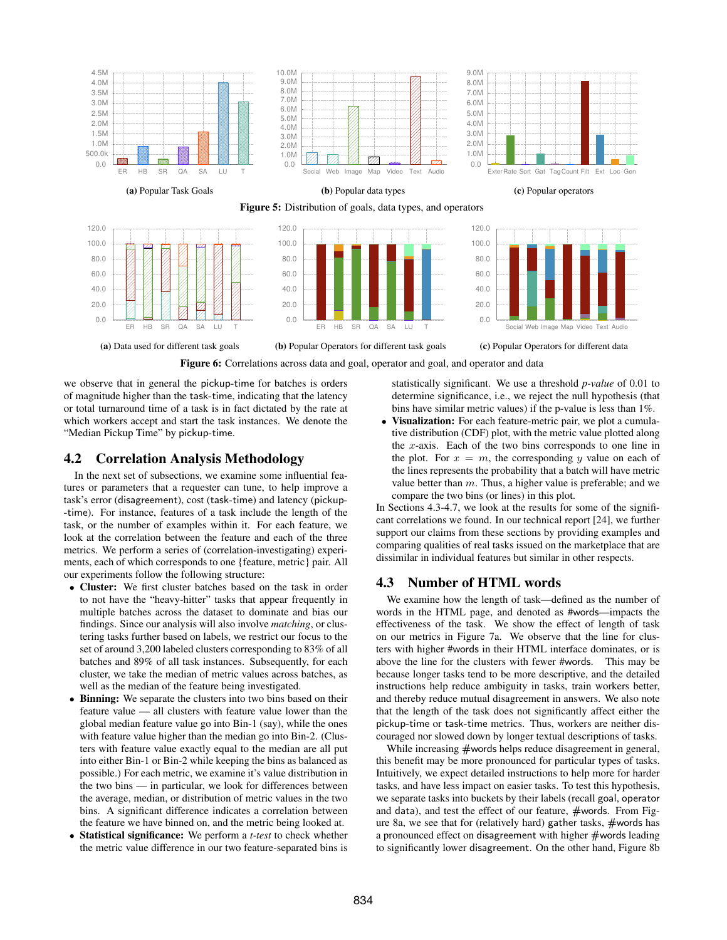<span id="page-5-2"></span><span id="page-5-1"></span>

Figure 6: Correlations across data and goal, operator and goal, and operator and data

we observe that in general the pickup-time for batches is orders of magnitude higher than the task-time, indicating that the latency or total turnaround time of a task is in fact dictated by the rate at which workers accept and start the task instances. We denote the "Median Pickup Time" by pickup-time.

#### 4.2 Correlation Analysis Methodology

In the next set of subsections, we examine some influential features or parameters that a requester can tune, to help improve a task's error (disagreement), cost (task-time) and latency (pickup- -time). For instance, features of a task include the length of the task, or the number of examples within it. For each feature, we look at the correlation between the feature and each of the three metrics. We perform a series of (correlation-investigating) experiments, each of which corresponds to one {feature, metric} pair. All our experiments follow the following structure:

- Cluster: We first cluster batches based on the task in order to not have the "heavy-hitter" tasks that appear frequently in multiple batches across the dataset to dominate and bias our findings. Since our analysis will also involve *matching*, or clustering tasks further based on labels, we restrict our focus to the set of around 3,200 labeled clusters corresponding to 83% of all batches and 89% of all task instances. Subsequently, for each cluster, we take the median of metric values across batches, as well as the median of the feature being investigated.
- Binning: We separate the clusters into two bins based on their feature value — all clusters with feature value lower than the global median feature value go into Bin-1 (say), while the ones with feature value higher than the median go into Bin-2. (Clusters with feature value exactly equal to the median are all put into either Bin-1 or Bin-2 while keeping the bins as balanced as possible.) For each metric, we examine it's value distribution in the two bins — in particular, we look for differences between the average, median, or distribution of metric values in the two bins. A significant difference indicates a correlation between the feature we have binned on, and the metric being looked at.
- Statistical significance: We perform a *t-test* to check whether the metric value difference in our two feature-separated bins is

statistically significant. We use a threshold *p-value* of 0.01 to determine significance, i.e., we reject the null hypothesis (that bins have similar metric values) if the p-value is less than 1%.

• Visualization: For each feature-metric pair, we plot a cumulative distribution (CDF) plot, with the metric value plotted along the  $x$ -axis. Each of the two bins corresponds to one line in the plot. For  $x = m$ , the corresponding y value on each of the lines represents the probability that a batch will have metric value better than  $m$ . Thus, a higher value is preferable; and we compare the two bins (or lines) in this plot.

In Sections [4.3](#page-5-0)[-4.7,](#page-7-0) we look at the results for some of the significant correlations we found. In our technical report [\[24\]](#page-11-17), we further support our claims from these sections by providing examples and comparing qualities of real tasks issued on the marketplace that are dissimilar in individual features but similar in other respects.

#### <span id="page-5-0"></span>4.3 Number of HTML words

We examine how the length of task—defined as the number of words in the HTML page, and denoted as #words—impacts the effectiveness of the task. We show the effect of length of task on our metrics in Figure [7a.](#page-6-0) We observe that the line for clusters with higher #words in their HTML interface dominates, or is above the line for the clusters with fewer #words. This may be because longer tasks tend to be more descriptive, and the detailed instructions help reduce ambiguity in tasks, train workers better, and thereby reduce mutual disagreement in answers. We also note that the length of the task does not significantly affect either the pickup-time or task-time metrics. Thus, workers are neither discouraged nor slowed down by longer textual descriptions of tasks.

While increasing  $\#$ words helps reduce disagreement in general, this benefit may be more pronounced for particular types of tasks. Intuitively, we expect detailed instructions to help more for harder tasks, and have less impact on easier tasks. To test this hypothesis, we separate tasks into buckets by their labels (recall goal, operator and data), and test the effect of our feature, #words. From Figure [8a,](#page-8-2) we see that for (relatively hard) gather tasks, #words has a pronounced effect on disagreement with higher #words leading to significantly lower disagreement. On the other hand, Figure [8b](#page-8-2)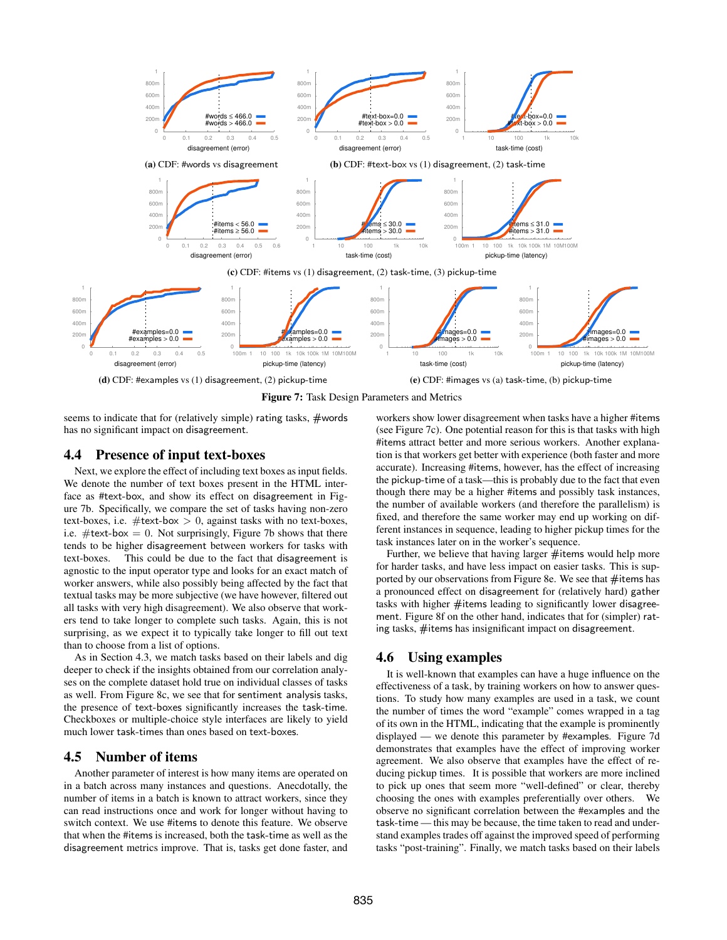<span id="page-6-0"></span>

seems to indicate that for (relatively simple) rating tasks, #words has no significant impact on disagreement.

## 4.4 Presence of input text-boxes

Next, we explore the effect of including text boxes as input fields. We denote the number of text boxes present in the HTML interface as #text-box, and show its effect on disagreement in Figure [7b.](#page-6-0) Specifically, we compare the set of tasks having non-zero text-boxes, i.e.  $\#$ text-box > 0, against tasks with no text-boxes, i.e.  $\#$ text-box = 0. Not surprisingly, Figure [7b](#page-6-0) shows that there tends to be higher disagreement between workers for tasks with text-boxes. This could be due to the fact that disagreement is agnostic to the input operator type and looks for an exact match of worker answers, while also possibly being affected by the fact that textual tasks may be more subjective (we have however, filtered out all tasks with very high disagreement). We also observe that workers tend to take longer to complete such tasks. Again, this is not surprising, as we expect it to typically take longer to fill out text than to choose from a list of options.

As in Section [4.3,](#page-5-0) we match tasks based on their labels and dig deeper to check if the insights obtained from our correlation analyses on the complete dataset hold true on individual classes of tasks as well. From Figure [8c,](#page-8-2) we see that for sentiment analysis tasks, the presence of text-boxes significantly increases the task-time. Checkboxes or multiple-choice style interfaces are likely to yield much lower task-times than ones based on text-boxes.

## 4.5 Number of items

Another parameter of interest is how many items are operated on in a batch across many instances and questions. Anecdotally, the number of items in a batch is known to attract workers, since they can read instructions once and work for longer without having to switch context. We use #items to denote this feature. We observe that when the #items is increased, both the task-time as well as the disagreement metrics improve. That is, tasks get done faster, and

workers show lower disagreement when tasks have a higher #items (see Figure [7c\)](#page-6-0). One potential reason for this is that tasks with high #items attract better and more serious workers. Another explanation is that workers get better with experience (both faster and more accurate). Increasing #items, however, has the effect of increasing the pickup-time of a task—this is probably due to the fact that even though there may be a higher #items and possibly task instances, the number of available workers (and therefore the parallelism) is fixed, and therefore the same worker may end up working on different instances in sequence, leading to higher pickup times for the task instances later on in the worker's sequence.

Further, we believe that having larger #items would help more for harder tasks, and have less impact on easier tasks. This is sup-ported by our observations from Figure [8e.](#page-8-2) We see that  $\#$ items has a pronounced effect on disagreement for (relatively hard) gather tasks with higher #items leading to significantly lower disagreement. Figure [8f](#page-8-2) on the other hand, indicates that for (simpler) rating tasks, #items has insignificant impact on disagreement.

# 4.6 Using examples

It is well-known that examples can have a huge influence on the effectiveness of a task, by training workers on how to answer questions. To study how many examples are used in a task, we count the number of times the word "example" comes wrapped in a tag of its own in the HTML, indicating that the example is prominently displayed — we denote this parameter by #examples. Figure [7d](#page-6-0) demonstrates that examples have the effect of improving worker agreement. We also observe that examples have the effect of reducing pickup times. It is possible that workers are more inclined to pick up ones that seem more "well-defined" or clear, thereby choosing the ones with examples preferentially over others. We observe no significant correlation between the #examples and the task-time — this may be because, the time taken to read and understand examples trades off against the improved speed of performing tasks "post-training". Finally, we match tasks based on their labels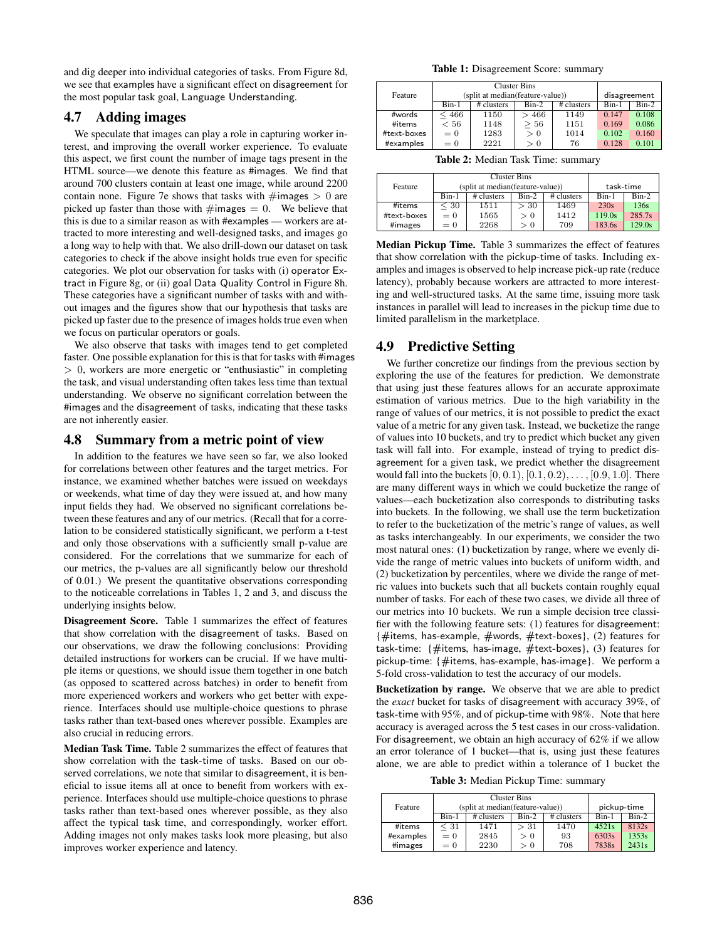and dig deeper into individual categories of tasks. From Figure [8d,](#page-8-2) we see that examples have a significant effect on disagreement for the most popular task goal, Language Understanding.

## <span id="page-7-0"></span>4.7 Adding images

We speculate that images can play a role in capturing worker interest, and improving the overall worker experience. To evaluate this aspect, we first count the number of image tags present in the HTML source—we denote this feature as #images. We find that around 700 clusters contain at least one image, while around 2200 contain none. Figure [7e](#page-6-0) shows that tasks with  $\#$ images > 0 are picked up faster than those with  $\#$ images = 0. We believe that this is due to a similar reason as with #examples — workers are attracted to more interesting and well-designed tasks, and images go a long way to help with that. We also drill-down our dataset on task categories to check if the above insight holds true even for specific categories. We plot our observation for tasks with (i) operator Extract in Figure [8g,](#page-8-2) or (ii) goal Data Quality Control in Figure [8h.](#page-8-2) These categories have a significant number of tasks with and without images and the figures show that our hypothesis that tasks are picked up faster due to the presence of images holds true even when we focus on particular operators or goals.

We also observe that tasks with images tend to get completed faster. One possible explanation for this is that for tasks with #images  $> 0$ , workers are more energetic or "enthusiastic" in completing the task, and visual understanding often takes less time than textual understanding. We observe no significant correlation between the #images and the disagreement of tasks, indicating that these tasks are not inherently easier.

#### <span id="page-7-2"></span>4.8 Summary from a metric point of view

In addition to the features we have seen so far, we also looked for correlations between other features and the target metrics. For instance, we examined whether batches were issued on weekdays or weekends, what time of day they were issued at, and how many input fields they had. We observed no significant correlations between these features and any of our metrics. (Recall that for a correlation to be considered statistically significant, we perform a t-test and only those observations with a sufficiently small p-value are considered. For the correlations that we summarize for each of our metrics, the p-values are all significantly below our threshold of 0.01.) We present the quantitative observations corresponding to the noticeable correlations in Tables [1,](#page-7-3) [2](#page-7-4) and [3,](#page-7-5) and discuss the underlying insights below.

Disagreement Score. Table [1](#page-7-3) summarizes the effect of features that show correlation with the disagreement of tasks. Based on our observations, we draw the following conclusions: Providing detailed instructions for workers can be crucial. If we have multiple items or questions, we should issue them together in one batch (as opposed to scattered across batches) in order to benefit from more experienced workers and workers who get better with experience. Interfaces should use multiple-choice questions to phrase tasks rather than text-based ones wherever possible. Examples are also crucial in reducing errors.

Median Task Time. Table [2](#page-7-4) summarizes the effect of features that show correlation with the task-time of tasks. Based on our observed correlations, we note that similar to disagreement, it is beneficial to issue items all at once to benefit from workers with experience. Interfaces should use multiple-choice questions to phrase tasks rather than text-based ones wherever possible, as they also affect the typical task time, and correspondingly, worker effort. Adding images not only makes tasks look more pleasing, but also improves worker experience and latency.

Table 1: Disagreement Score: summary

<span id="page-7-3"></span>

| <b>Cluster Bins</b> |                                  |            |         |            |              |         |
|---------------------|----------------------------------|------------|---------|------------|--------------|---------|
| Feature             | (split at median(feature-value)) |            |         |            | disagreement |         |
|                     | $Bin-1$                          | # clusters | $Bin-2$ | # clusters | $Bin-1$      | $Bin-2$ |
| #words              | $\leq 466$                       | 1150       | >466    | 1149       | 0.147        | 0.108   |
| #items              | < 56                             | 1148       | > 56    | 1151       | 0.169        | 0.086   |
| #text-boxes         | $= 0$                            | 1283       | > 0     | 1014       | 0.102        | 0.160   |
| #examples           | $= 0$                            | 2221       | > 0     | 76         | 0.128        | 0.101   |

| Table 2: Median Task Time: summary |  |  |  |
|------------------------------------|--|--|--|
|------------------------------------|--|--|--|

<span id="page-7-4"></span>

|             | <b>Cluster Bins</b>              |            |         |            |        |         |
|-------------|----------------------------------|------------|---------|------------|--------|---------|
| Feature     | (split at median(feature-value)) |            |         | task-time  |        |         |
|             | Bin-1                            | # clusters | $Bin-2$ | # clusters | Bin-1  | $Bin-2$ |
| #items      | $<$ 30                           | 1511       | >30     | 1469       | 230s   | 136s    |
| #text-boxes | $= 0$                            | 1565       | > 0     | 1412       | 119.0s | 285.7s  |
| #images     | $= 0$                            | 2268       | >0      | 709        | 183.6s | 129.0s  |

Median Pickup Time. Table [3](#page-7-5) summarizes the effect of features that show correlation with the pickup-time of tasks. Including examples and images is observed to help increase pick-up rate (reduce latency), probably because workers are attracted to more interesting and well-structured tasks. At the same time, issuing more task instances in parallel will lead to increases in the pickup time due to limited parallelism in the marketplace.

## <span id="page-7-1"></span>4.9 Predictive Setting

We further concretize our findings from the previous section by exploring the use of the features for prediction. We demonstrate that using just these features allows for an accurate approximate estimation of various metrics. Due to the high variability in the range of values of our metrics, it is not possible to predict the exact value of a metric for any given task. Instead, we bucketize the range of values into 10 buckets, and try to predict which bucket any given task will fall into. For example, instead of trying to predict disagreement for a given task, we predict whether the disagreement would fall into the buckets  $[0, 0.1), [0.1, 0.2), \ldots, [0.9, 1.0]$ . There are many different ways in which we could bucketize the range of values—each bucketization also corresponds to distributing tasks into buckets. In the following, we shall use the term bucketization to refer to the bucketization of the metric's range of values, as well as tasks interchangeably. In our experiments, we consider the two most natural ones: (1) bucketization by range, where we evenly divide the range of metric values into buckets of uniform width, and (2) bucketization by percentiles, where we divide the range of metric values into buckets such that all buckets contain roughly equal number of tasks. For each of these two cases, we divide all three of our metrics into 10 buckets. We run a simple decision tree classifier with the following feature sets: (1) features for disagreement: {#items, has-example, #words, #text-boxes}, (2) features for task-time: {#items, has-image, #text-boxes}, (3) features for pickup-time: {#items, has-example, has-image}. We perform a 5-fold cross-validation to test the accuracy of our models.

Bucketization by range. We observe that we are able to predict the *exact* bucket for tasks of disagreement with accuracy 39%, of task-time with 95%, and of pickup-time with 98%. Note that here accuracy is averaged across the 5 test cases in our cross-validation. For disagreement, we obtain an high accuracy of 62% if we allow an error tolerance of 1 bucket—that is, using just these features alone, we are able to predict within a tolerance of 1 bucket the

Table 3: Median Pickup Time: summary

<span id="page-7-5"></span>

| Feature   | <b>Cluster Bins</b><br>(split at median(feature-value)) |            |         | pickup-time            |         |         |
|-----------|---------------------------------------------------------|------------|---------|------------------------|---------|---------|
|           | Bin-1                                                   | # clusters | $Bin-2$ | $\frac{4}{1}$ clusters | $Bin-1$ | $Bin-2$ |
| #items    | $<$ 31                                                  | 1471       | > 31    | 1470                   | 4521s   | 8132s   |
| #examples | $= 0$                                                   | 2845       | > 0     | 93                     | 6303s   | 1353s   |
| #images   | $= 0$                                                   | 2230       | >0      | 708                    | 7838s   | 2431s   |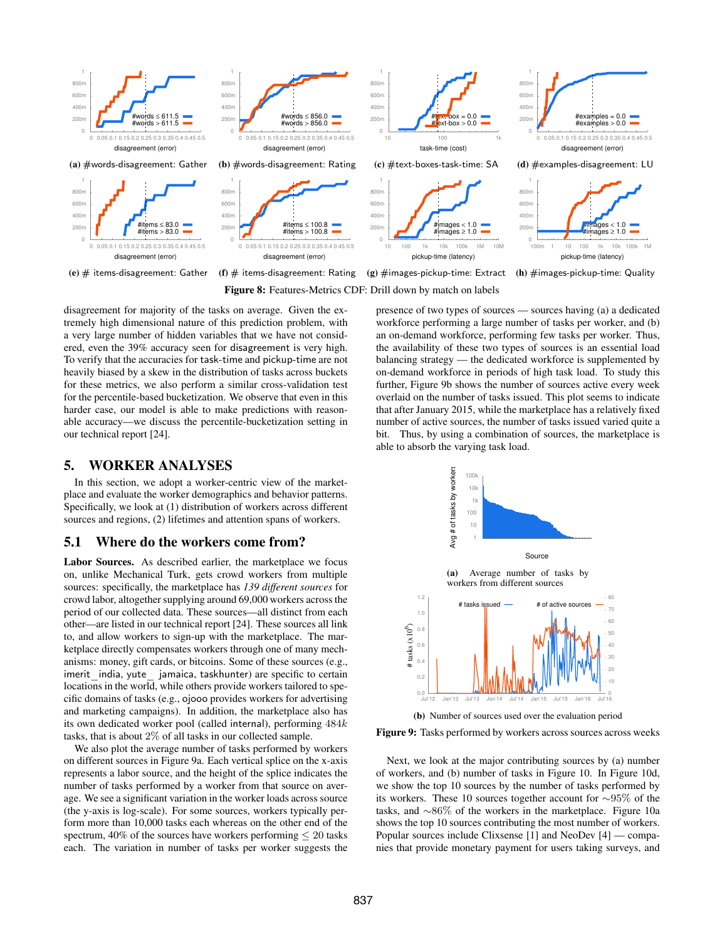<span id="page-8-2"></span>

Figure 8: Features-Metrics CDF: Drill down by match on labels

(h) #images-pickup-time: Quality

disagreement for majority of the tasks on average. Given the extremely high dimensional nature of this prediction problem, with a very large number of hidden variables that we have not considered, even the 39% accuracy seen for disagreement is very high. To verify that the accuracies for task-time and pickup-time are not heavily biased by a skew in the distribution of tasks across buckets for these metrics, we also perform a similar cross-validation test for the percentile-based bucketization. We observe that even in this harder case, our model is able to make predictions with reasonable accuracy—we discuss the percentile-bucketization setting in our technical report [\[24\]](#page-11-17).

#### <span id="page-8-0"></span>5. WORKER ANALYSES

In this section, we adopt a worker-centric view of the marketplace and evaluate the worker demographics and behavior patterns. Specifically, we look at (1) distribution of workers across different sources and regions, (2) lifetimes and attention spans of workers.

#### <span id="page-8-1"></span>5.1 Where do the workers come from?

Labor Sources. As described earlier, the marketplace we focus on, unlike Mechanical Turk, gets crowd workers from multiple sources: specifically, the marketplace has *139 different sources* for crowd labor, altogether supplying around 69,000 workers across the period of our collected data. These sources—all distinct from each other—are listed in our technical report [\[24\]](#page-11-17). These sources all link to, and allow workers to sign-up with the marketplace. The marketplace directly compensates workers through one of many mechanisms: money, gift cards, or bitcoins. Some of these sources (e.g., imerit india, yute jamaica, taskhunter) are specific to certain locations in the world, while others provide workers tailored to specific domains of tasks (e.g., ojooo provides workers for advertising and marketing campaigns). In addition, the marketplace also has its own dedicated worker pool (called internal), performing 484k tasks, that is about 2% of all tasks in our collected sample.

We also plot the average number of tasks performed by workers on different sources in Figure [9a.](#page-8-3) Each vertical splice on the x-axis represents a labor source, and the height of the splice indicates the number of tasks performed by a worker from that source on average. We see a significant variation in the worker loads across source (the y-axis is log-scale). For some sources, workers typically perform more than 10,000 tasks each whereas on the other end of the spectrum, 40% of the sources have workers performing  $\leq 20$  tasks each. The variation in number of tasks per worker suggests the presence of two types of sources — sources having (a) a dedicated workforce performing a large number of tasks per worker, and (b) an on-demand workforce, performing few tasks per worker. Thus, the availability of these two types of sources is an essential load balancing strategy — the dedicated workforce is supplemented by on-demand workforce in periods of high task load. To study this further, Figure [9b](#page-8-3) shows the number of sources active every week overlaid on the number of tasks issued. This plot seems to indicate that after January 2015, while the marketplace has a relatively fixed number of active sources, the number of tasks issued varied quite a bit. Thus, by using a combination of sources, the marketplace is able to absorb the varying task load.

<span id="page-8-3"></span>

(b) Number of sources used over the evaluation period

Figure 9: Tasks performed by workers across sources across weeks

Next, we look at the major contributing sources by (a) number of workers, and (b) number of tasks in Figure [10.](#page-10-1) In Figure [10d,](#page-10-1) we show the top 10 sources by the number of tasks performed by its workers. These 10 sources together account for ∼95% of the tasks, and ∼86% of the workers in the marketplace. Figure [10a](#page-10-1) shows the top 10 sources contributing the most number of workers. Popular sources include Clixsense [\[1\]](#page-11-19) and NeoDev [\[4\]](#page-11-20) — companies that provide monetary payment for users taking surveys, and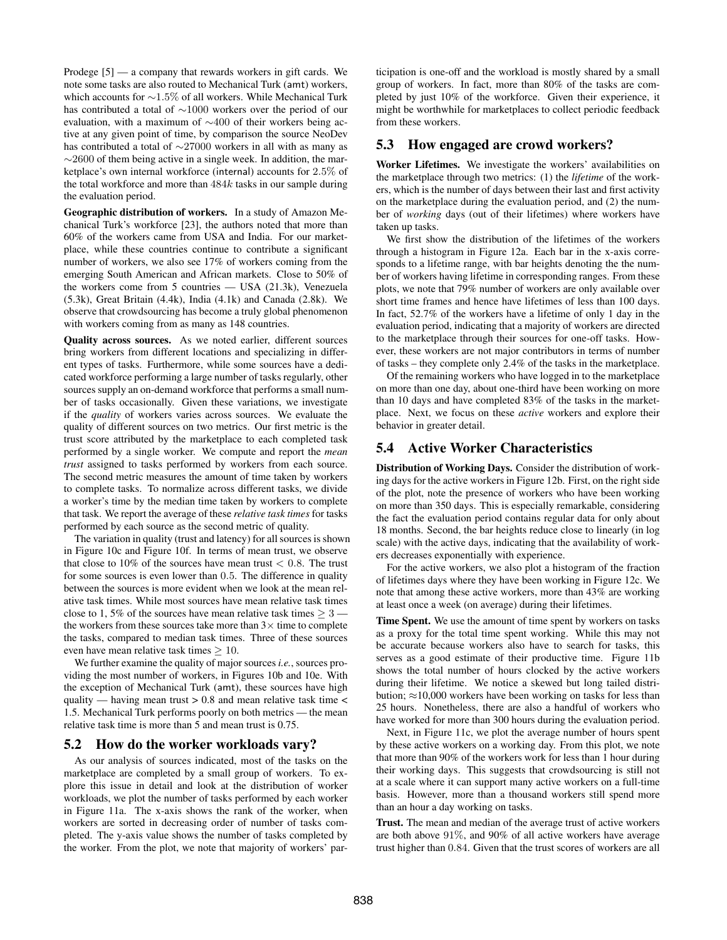Prodege [\[5\]](#page-11-21) — a company that rewards workers in gift cards. We note some tasks are also routed to Mechanical Turk (amt) workers, which accounts for ∼1.5% of all workers. While Mechanical Turk has contributed a total of ∼1000 workers over the period of our evaluation, with a maximum of ∼400 of their workers being active at any given point of time, by comparison the source NeoDev has contributed a total of ∼27000 workers in all with as many as  $\sim$ 2600 of them being active in a single week. In addition, the marketplace's own internal workforce (internal) accounts for 2.5% of the total workforce and more than  $484k$  tasks in our sample during the evaluation period.

Geographic distribution of workers. In a study of Amazon Mechanical Turk's workforce [\[23\]](#page-11-22), the authors noted that more than 60% of the workers came from USA and India. For our marketplace, while these countries continue to contribute a significant number of workers, we also see 17% of workers coming from the emerging South American and African markets. Close to 50% of the workers come from 5 countries — USA (21.3k), Venezuela (5.3k), Great Britain (4.4k), India (4.1k) and Canada (2.8k). We observe that crowdsourcing has become a truly global phenomenon with workers coming from as many as 148 countries.

Quality across sources. As we noted earlier, different sources bring workers from different locations and specializing in different types of tasks. Furthermore, while some sources have a dedicated workforce performing a large number of tasks regularly, other sources supply an on-demand workforce that performs a small number of tasks occasionally. Given these variations, we investigate if the *quality* of workers varies across sources. We evaluate the quality of different sources on two metrics. Our first metric is the trust score attributed by the marketplace to each completed task performed by a single worker. We compute and report the *mean trust* assigned to tasks performed by workers from each source. The second metric measures the amount of time taken by workers to complete tasks. To normalize across different tasks, we divide a worker's time by the median time taken by workers to complete that task. We report the average of these *relative task times* for tasks performed by each source as the second metric of quality.

The variation in quality (trust and latency) for all sources is shown in Figure [10c](#page-10-1) and Figure [10f.](#page-10-1) In terms of mean trust, we observe that close to 10% of the sources have mean trust  $< 0.8$ . The trust for some sources is even lower than 0.5. The difference in quality between the sources is more evident when we look at the mean relative task times. While most sources have mean relative task times close to 1, 5% of the sources have mean relative task times  $\geq 3$  – the workers from these sources take more than  $3\times$  time to complete the tasks, compared to median task times. Three of these sources even have mean relative task times  $\geq 10$ .

We further examine the quality of major sources *i.e.*, sources providing the most number of workers, in Figures [10b](#page-10-1) and [10e.](#page-10-1) With the exception of Mechanical Turk (amt), these sources have high quality — having mean trust  $> 0.8$  and mean relative task time  $<$ 1.5. Mechanical Turk performs poorly on both metrics — the mean relative task time is more than 5 and mean trust is 0.75.

#### <span id="page-9-0"></span>5.2 How do the worker workloads vary?

As our analysis of sources indicated, most of the tasks on the marketplace are completed by a small group of workers. To explore this issue in detail and look at the distribution of worker workloads, we plot the number of tasks performed by each worker in Figure [11a.](#page-10-2) The x-axis shows the rank of the worker, when workers are sorted in decreasing order of number of tasks completed. The y-axis value shows the number of tasks completed by the worker. From the plot, we note that majority of workers' participation is one-off and the workload is mostly shared by a small group of workers. In fact, more than 80% of the tasks are completed by just 10% of the workforce. Given their experience, it might be worthwhile for marketplaces to collect periodic feedback from these workers.

#### <span id="page-9-1"></span>5.3 How engaged are crowd workers?

Worker Lifetimes. We investigate the workers' availabilities on the marketplace through two metrics: (1) the *lifetime* of the workers, which is the number of days between their last and first activity on the marketplace during the evaluation period, and (2) the number of *working* days (out of their lifetimes) where workers have taken up tasks.

We first show the distribution of the lifetimes of the workers through a histogram in Figure [12a.](#page-10-3) Each bar in the x-axis corresponds to a lifetime range, with bar heights denoting the the number of workers having lifetime in corresponding ranges. From these plots, we note that 79% number of workers are only available over short time frames and hence have lifetimes of less than 100 days. In fact, 52.7% of the workers have a lifetime of only 1 day in the evaluation period, indicating that a majority of workers are directed to the marketplace through their sources for one-off tasks. However, these workers are not major contributors in terms of number of tasks – they complete only 2.4% of the tasks in the marketplace.

Of the remaining workers who have logged in to the marketplace on more than one day, about one-third have been working on more than 10 days and have completed 83% of the tasks in the marketplace. Next, we focus on these *active* workers and explore their behavior in greater detail.

#### 5.4 Active Worker Characteristics

Distribution of Working Days. Consider the distribution of working days for the active workers in Figure [12b.](#page-10-3) First, on the right side of the plot, note the presence of workers who have been working on more than 350 days. This is especially remarkable, considering the fact the evaluation period contains regular data for only about 18 months. Second, the bar heights reduce close to linearly (in log scale) with the active days, indicating that the availability of workers decreases exponentially with experience.

For the active workers, we also plot a histogram of the fraction of lifetimes days where they have been working in Figure [12c.](#page-10-3) We note that among these active workers, more than 43% are working at least once a week (on average) during their lifetimes.

Time Spent. We use the amount of time spent by workers on tasks as a proxy for the total time spent working. While this may not be accurate because workers also have to search for tasks, this serves as a good estimate of their productive time. Figure [11b](#page-10-2) shows the total number of hours clocked by the active workers during their lifetime. We notice a skewed but long tailed distribution;  $\approx$ 10,000 workers have been working on tasks for less than 25 hours. Nonetheless, there are also a handful of workers who have worked for more than 300 hours during the evaluation period.

Next, in Figure [11c,](#page-10-2) we plot the average number of hours spent by these active workers on a working day. From this plot, we note that more than 90% of the workers work for less than 1 hour during their working days. This suggests that crowdsourcing is still not at a scale where it can support many active workers on a full-time basis. However, more than a thousand workers still spend more than an hour a day working on tasks.

Trust. The mean and median of the average trust of active workers are both above 91%, and 90% of all active workers have average trust higher than 0.84. Given that the trust scores of workers are all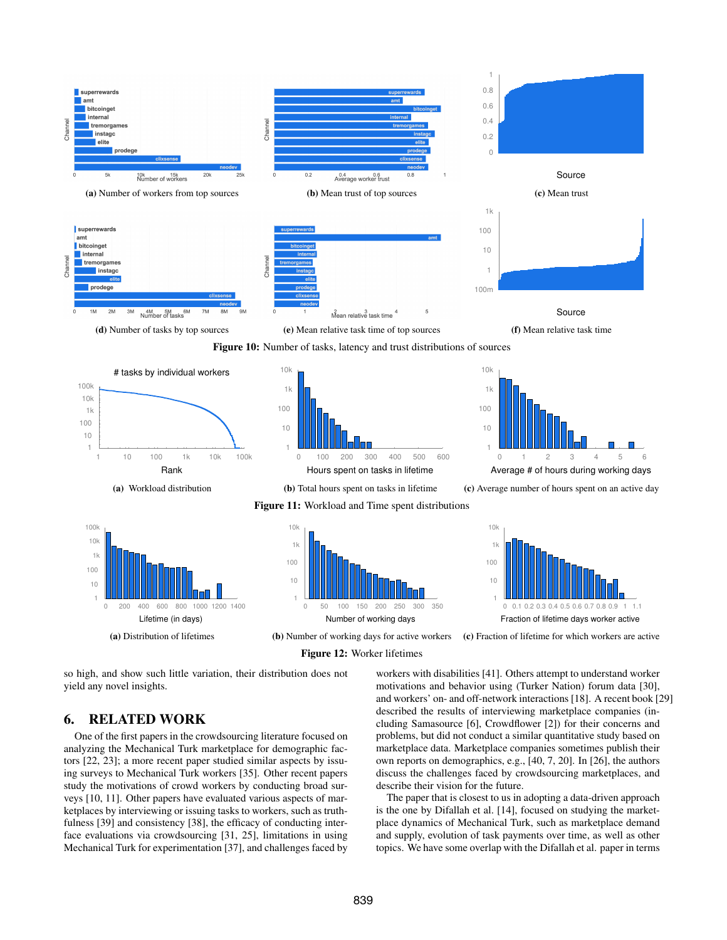<span id="page-10-2"></span><span id="page-10-1"></span>

Figure 12: Worker lifetimes

<span id="page-10-3"></span>so high, and show such little variation, their distribution does not yield any novel insights.

## <span id="page-10-0"></span>6. RELATED WORK

One of the first papers in the crowdsourcing literature focused on analyzing the Mechanical Turk marketplace for demographic factors [\[22,](#page-11-23) [23\]](#page-11-22); a more recent paper studied similar aspects by issuing surveys to Mechanical Turk workers [\[35\]](#page-11-24). Other recent papers study the motivations of crowd workers by conducting broad surveys [\[10,](#page-11-25) [11\]](#page-11-26). Other papers have evaluated various aspects of marketplaces by interviewing or issuing tasks to workers, such as truthfulness [\[39\]](#page-11-27) and consistency [\[38\]](#page-11-28), the efficacy of conducting interface evaluations via crowdsourcing [\[31,](#page-11-29) [25\]](#page-11-30), limitations in using Mechanical Turk for experimentation [\[37\]](#page-11-31), and challenges faced by

workers with disabilities [\[41\]](#page-11-32). Others attempt to understand worker motivations and behavior using (Turker Nation) forum data [\[30\]](#page-11-33), and workers' on- and off-network interactions [\[18\]](#page-11-34). A recent book [\[29\]](#page-11-3) described the results of interviewing marketplace companies (including Samasource [\[6\]](#page-11-35), Crowdflower [\[2\]](#page-11-36)) for their concerns and problems, but did not conduct a similar quantitative study based on marketplace data. Marketplace companies sometimes publish their own reports on demographics, e.g., [\[40,](#page-11-37) [7,](#page-11-38) [20\]](#page-11-39). In [\[26\]](#page-11-40), the authors discuss the challenges faced by crowdsourcing marketplaces, and describe their vision for the future.

The paper that is closest to us in adopting a data-driven approach is the one by Difallah et al. [\[14\]](#page-11-16), focused on studying the marketplace dynamics of Mechanical Turk, such as marketplace demand and supply, evolution of task payments over time, as well as other topics. We have some overlap with the Difallah et al. paper in terms